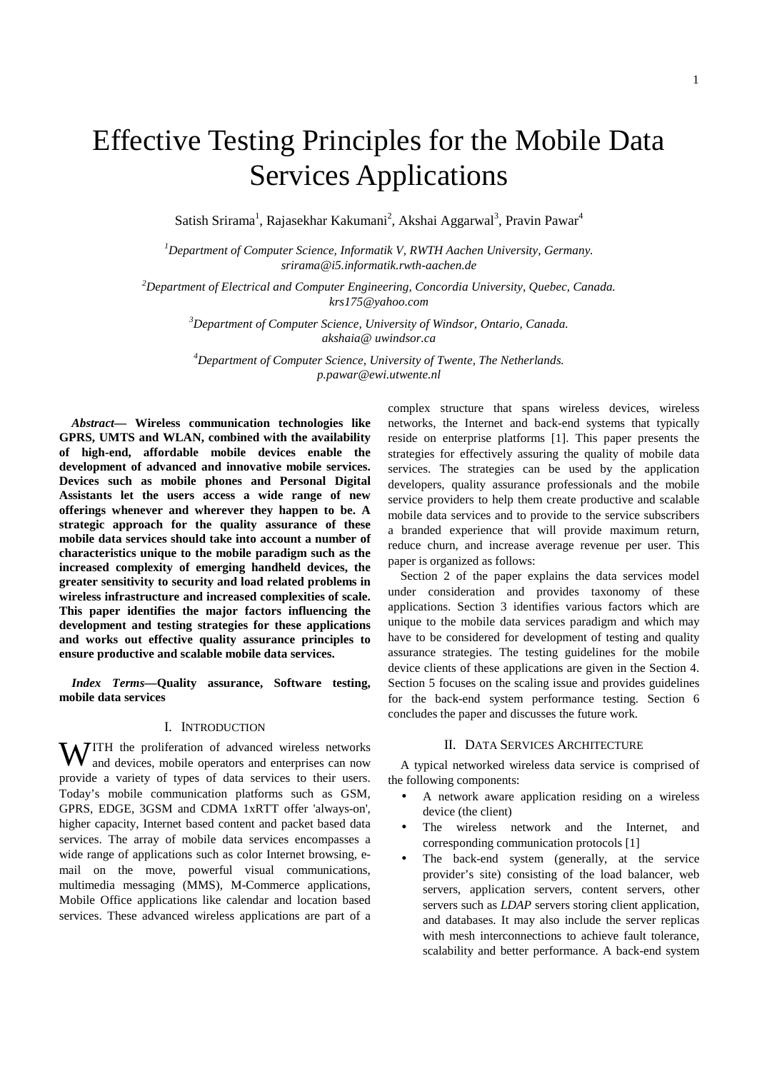# Effective Testing Principles for the Mobile Data Services Applications

Satish Srirama<sup>1</sup>, Rajasekhar Kakumani<sup>2</sup>, Akshai Aggarwal<sup>3</sup>, Pravin Pawar<sup>4</sup>

*<sup>1</sup>Department of Computer Science, Informatik V, RWTH Aachen University, Germany. srirama@i5.informatik.rwth-aachen.de* 

*<sup>2</sup>Department of Electrical and Computer Engineering, Concordia University, Quebec, Canada. krs175@yahoo.com* 

> *<sup>3</sup>Department of Computer Science, University of Windsor, Ontario, Canada. akshaia@ uwindsor.ca*

*<sup>4</sup>Department of Computer Science, University of Twente, The Netherlands. p.pawar@ewi.utwente.nl* 

*Abstract***— Wireless communication technologies like GPRS, UMTS and WLAN, combined with the availability of high-end, affordable mobile devices enable the development of advanced and innovative mobile services. Devices such as mobile phones and Personal Digital Assistants let the users access a wide range of new offerings whenever and wherever they happen to be. A strategic approach for the quality assurance of these mobile data services should take into account a number of characteristics unique to the mobile paradigm such as the increased complexity of emerging handheld devices, the greater sensitivity to security and load related problems in wireless infrastructure and increased complexities of scale. This paper identifies the major factors influencing the development and testing strategies for these applications and works out effective quality assurance principles to ensure productive and scalable mobile data services.** 

*Index Terms***—Quality assurance, Software testing, mobile data services** 

## I. INTRODUCTION

ITH the proliferation of advanced wireless networks **WITH** the proliferation of advanced wireless networks and devices, mobile operators and enterprises can now provide a variety of types of data services to their users. Today's mobile communication platforms such as GSM, GPRS, EDGE, 3GSM and CDMA 1xRTT offer 'always-on', higher capacity, Internet based content and packet based data services. The array of mobile data services encompasses a wide range of applications such as color Internet browsing, email on the move, powerful visual communications, multimedia messaging (MMS), M-Commerce applications, Mobile Office applications like calendar and location based services. These advanced wireless applications are part of a

complex structure that spans wireless devices, wireless networks, the Internet and back-end systems that typically reside on enterprise platforms [1]. This paper presents the strategies for effectively assuring the quality of mobile data services. The strategies can be used by the application developers, quality assurance professionals and the mobile service providers to help them create productive and scalable mobile data services and to provide to the service subscribers a branded experience that will provide maximum return, reduce churn, and increase average revenue per user. This paper is organized as follows:

Section 2 of the paper explains the data services model under consideration and provides taxonomy of these applications. Section 3 identifies various factors which are unique to the mobile data services paradigm and which may have to be considered for development of testing and quality assurance strategies. The testing guidelines for the mobile device clients of these applications are given in the Section 4. Section 5 focuses on the scaling issue and provides guidelines for the back-end system performance testing. Section 6 concludes the paper and discusses the future work.

### II. DATA SERVICES ARCHITECTURE

A typical networked wireless data service is comprised of the following components:

- A network aware application residing on a wireless device (the client)
- The wireless network and the Internet, and corresponding communication protocols [1]
- The back-end system (generally, at the service provider's site) consisting of the load balancer, web servers, application servers, content servers, other servers such as *LDAP* servers storing client application, and databases. It may also include the server replicas with mesh interconnections to achieve fault tolerance, scalability and better performance. A back-end system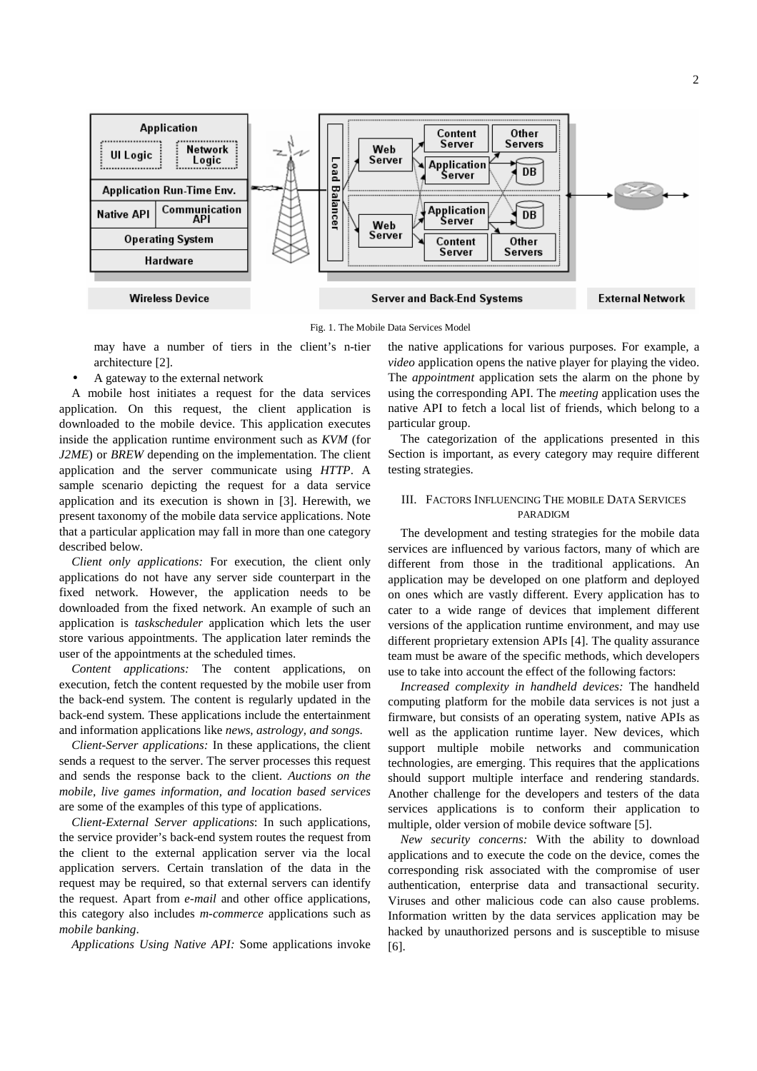

Fig. 1. The Mobile Data Services Model

may have a number of tiers in the client's n-tier architecture [2].

• A gateway to the external network

A mobile host initiates a request for the data services application. On this request, the client application is downloaded to the mobile device. This application executes inside the application runtime environment such as *KVM* (for *J2ME*) or *BREW* depending on the implementation. The client application and the server communicate using *HTTP*. A sample scenario depicting the request for a data service application and its execution is shown in [3]. Herewith, we present taxonomy of the mobile data service applications. Note that a particular application may fall in more than one category described below.

*Client only applications:* For execution, the client only applications do not have any server side counterpart in the fixed network. However, the application needs to be downloaded from the fixed network. An example of such an application is *taskscheduler* application which lets the user store various appointments. The application later reminds the user of the appointments at the scheduled times.

*Content applications:* The content applications, on execution, fetch the content requested by the mobile user from the back-end system. The content is regularly updated in the back-end system. These applications include the entertainment and information applications like *news, astrology, and songs*.

*Client-Server applications:* In these applications, the client sends a request to the server. The server processes this request and sends the response back to the client. *Auctions on the mobile, live games information, and location based services*  are some of the examples of this type of applications.

*Client-External Server applications*: In such applications, the service provider's back-end system routes the request from the client to the external application server via the local application servers. Certain translation of the data in the request may be required, so that external servers can identify the request. Apart from *e-mail* and other office applications, this category also includes *m-commerce* applications such as *mobile banking*.

*Applications Using Native API:* Some applications invoke

the native applications for various purposes. For example, a *video* application opens the native player for playing the video. The *appointment* application sets the alarm on the phone by using the corresponding API. The *meeting* application uses the native API to fetch a local list of friends, which belong to a particular group.

The categorization of the applications presented in this Section is important, as every category may require different testing strategies.

# III. FACTORS INFLUENCING THE MOBILE DATA SERVICES PARADIGM

The development and testing strategies for the mobile data services are influenced by various factors, many of which are different from those in the traditional applications. An application may be developed on one platform and deployed on ones which are vastly different. Every application has to cater to a wide range of devices that implement different versions of the application runtime environment, and may use different proprietary extension APIs [4]. The quality assurance team must be aware of the specific methods, which developers use to take into account the effect of the following factors:

*Increased complexity in handheld devices:* The handheld computing platform for the mobile data services is not just a firmware, but consists of an operating system, native APIs as well as the application runtime layer. New devices, which support multiple mobile networks and communication technologies, are emerging. This requires that the applications should support multiple interface and rendering standards. Another challenge for the developers and testers of the data services applications is to conform their application to multiple, older version of mobile device software [5].

*New security concerns:* With the ability to download applications and to execute the code on the device, comes the corresponding risk associated with the compromise of user authentication, enterprise data and transactional security. Viruses and other malicious code can also cause problems. Information written by the data services application may be hacked by unauthorized persons and is susceptible to misuse [6].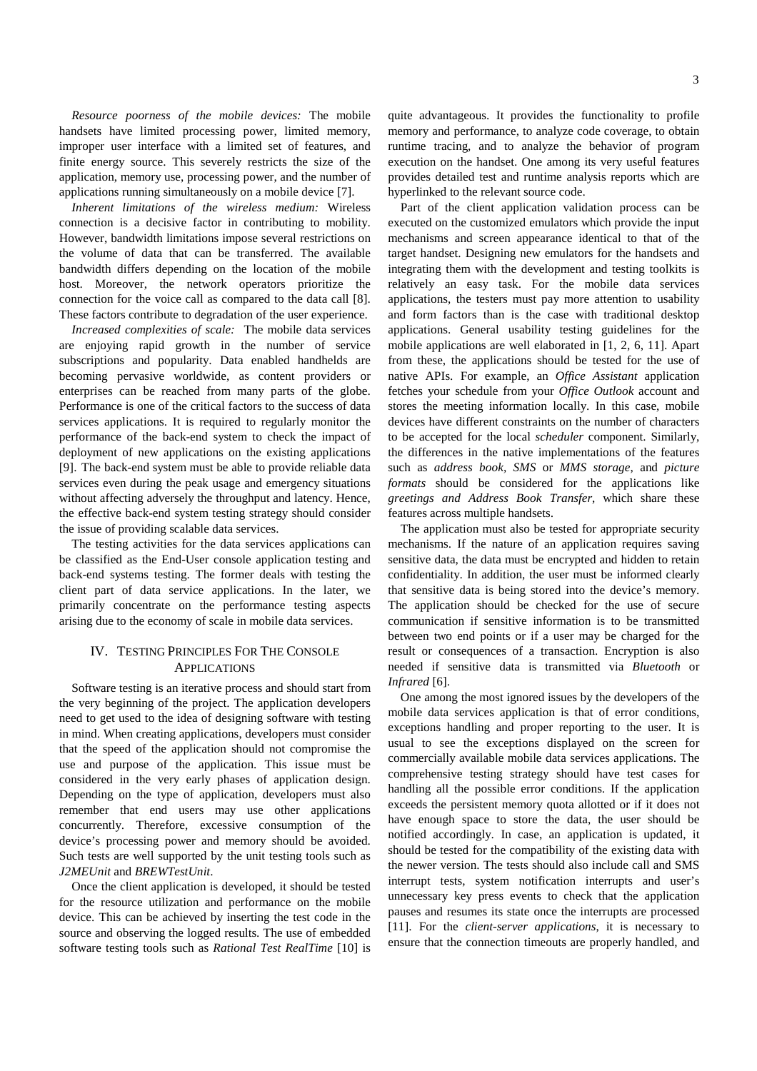*Resource poorness of the mobile devices:* The mobile handsets have limited processing power, limited memory, improper user interface with a limited set of features, and finite energy source. This severely restricts the size of the application, memory use, processing power, and the number of applications running simultaneously on a mobile device [7].

*Inherent limitations of the wireless medium:* Wireless connection is a decisive factor in contributing to mobility. However, bandwidth limitations impose several restrictions on the volume of data that can be transferred. The available bandwidth differs depending on the location of the mobile host. Moreover, the network operators prioritize the connection for the voice call as compared to the data call [8]. These factors contribute to degradation of the user experience.

*Increased complexities of scale:* The mobile data services are enjoying rapid growth in the number of service subscriptions and popularity. Data enabled handhelds are becoming pervasive worldwide, as content providers or enterprises can be reached from many parts of the globe. Performance is one of the critical factors to the success of data services applications. It is required to regularly monitor the performance of the back-end system to check the impact of deployment of new applications on the existing applications [9]. The back-end system must be able to provide reliable data services even during the peak usage and emergency situations without affecting adversely the throughput and latency. Hence, the effective back-end system testing strategy should consider the issue of providing scalable data services.

The testing activities for the data services applications can be classified as the End-User console application testing and back-end systems testing. The former deals with testing the client part of data service applications. In the later, we primarily concentrate on the performance testing aspects arising due to the economy of scale in mobile data services.

# IV. TESTING PRINCIPLES FOR THE CONSOLE APPLICATIONS

Software testing is an iterative process and should start from the very beginning of the project. The application developers need to get used to the idea of designing software with testing in mind. When creating applications, developers must consider that the speed of the application should not compromise the use and purpose of the application. This issue must be considered in the very early phases of application design. Depending on the type of application, developers must also remember that end users may use other applications concurrently. Therefore, excessive consumption of the device's processing power and memory should be avoided. Such tests are well supported by the unit testing tools such as *J2MEUnit* and *BREWTestUnit*.

Once the client application is developed, it should be tested for the resource utilization and performance on the mobile device. This can be achieved by inserting the test code in the source and observing the logged results. The use of embedded software testing tools such as *Rational Test RealTime* [10] is

quite advantageous. It provides the functionality to profile memory and performance, to analyze code coverage, to obtain runtime tracing, and to analyze the behavior of program execution on the handset. One among its very useful features provides detailed test and runtime analysis reports which are hyperlinked to the relevant source code.

Part of the client application validation process can be executed on the customized emulators which provide the input mechanisms and screen appearance identical to that of the target handset. Designing new emulators for the handsets and integrating them with the development and testing toolkits is relatively an easy task. For the mobile data services applications, the testers must pay more attention to usability and form factors than is the case with traditional desktop applications. General usability testing guidelines for the mobile applications are well elaborated in [1, 2, 6, 11]. Apart from these, the applications should be tested for the use of native APIs. For example, an *Office Assistant* application fetches your schedule from your *Office Outlook* account and stores the meeting information locally. In this case, mobile devices have different constraints on the number of characters to be accepted for the local *scheduler* component. Similarly, the differences in the native implementations of the features such as *address book, SMS* or *MMS storage*, and *picture formats* should be considered for the applications like *greetings and Address Book Transfer*, which share these features across multiple handsets.

The application must also be tested for appropriate security mechanisms. If the nature of an application requires saving sensitive data, the data must be encrypted and hidden to retain confidentiality. In addition, the user must be informed clearly that sensitive data is being stored into the device's memory. The application should be checked for the use of secure communication if sensitive information is to be transmitted between two end points or if a user may be charged for the result or consequences of a transaction. Encryption is also needed if sensitive data is transmitted via *Bluetooth* or *Infrared* [6].

One among the most ignored issues by the developers of the mobile data services application is that of error conditions, exceptions handling and proper reporting to the user. It is usual to see the exceptions displayed on the screen for commercially available mobile data services applications. The comprehensive testing strategy should have test cases for handling all the possible error conditions. If the application exceeds the persistent memory quota allotted or if it does not have enough space to store the data, the user should be notified accordingly. In case, an application is updated, it should be tested for the compatibility of the existing data with the newer version. The tests should also include call and SMS interrupt tests, system notification interrupts and user's unnecessary key press events to check that the application pauses and resumes its state once the interrupts are processed [11]. For the *client-server applications*, it is necessary to ensure that the connection timeouts are properly handled, and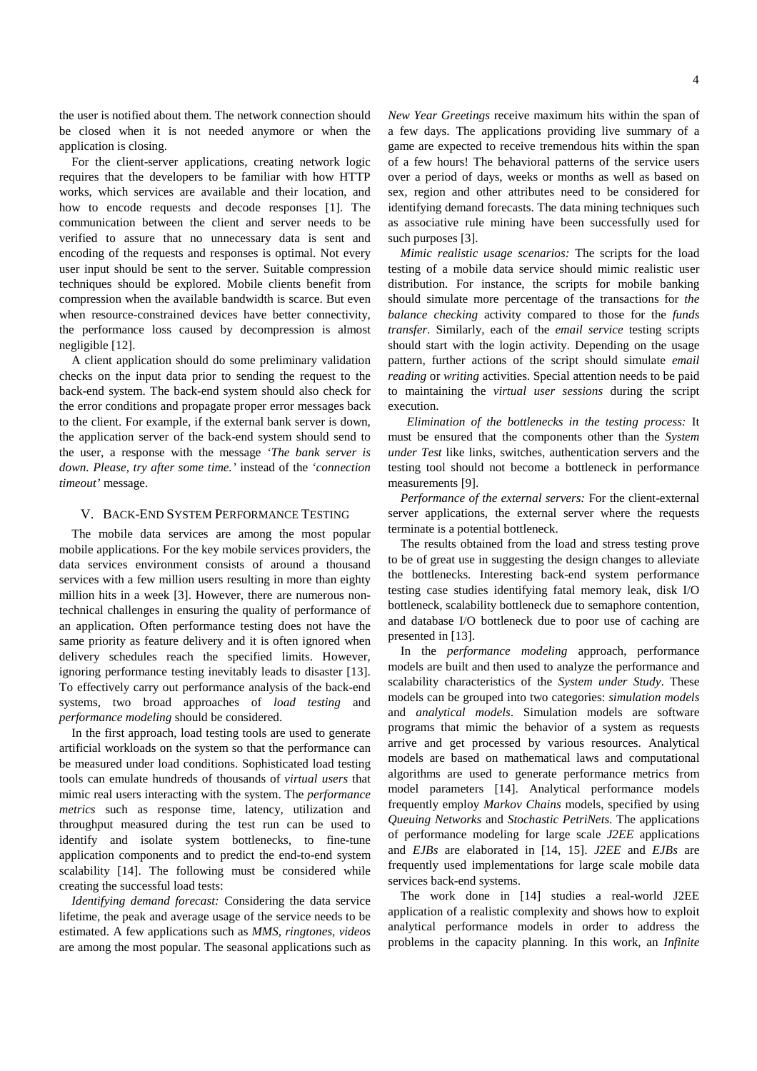the user is notified about them. The network connection should be closed when it is not needed anymore or when the application is closing.

For the client-server applications, creating network logic requires that the developers to be familiar with how HTTP works, which services are available and their location, and how to encode requests and decode responses [1]. The communication between the client and server needs to be verified to assure that no unnecessary data is sent and encoding of the requests and responses is optimal. Not every user input should be sent to the server. Suitable compression techniques should be explored. Mobile clients benefit from compression when the available bandwidth is scarce. But even when resource-constrained devices have better connectivity, the performance loss caused by decompression is almost negligible [12].

A client application should do some preliminary validation checks on the input data prior to sending the request to the back-end system. The back-end system should also check for the error conditions and propagate proper error messages back to the client. For example, if the external bank server is down, the application server of the back-end system should send to the user, a response with the message *'The bank server is down. Please, try after some time.'* instead of the *'connection timeout'* message.

## V. BACK-END SYSTEM PERFORMANCE TESTING

The mobile data services are among the most popular mobile applications. For the key mobile services providers, the data services environment consists of around a thousand services with a few million users resulting in more than eighty million hits in a week [3]. However, there are numerous nontechnical challenges in ensuring the quality of performance of an application. Often performance testing does not have the same priority as feature delivery and it is often ignored when delivery schedules reach the specified limits. However, ignoring performance testing inevitably leads to disaster [13]. To effectively carry out performance analysis of the back-end systems, two broad approaches of *load testing* and *performance modeling* should be considered.

In the first approach, load testing tools are used to generate artificial workloads on the system so that the performance can be measured under load conditions. Sophisticated load testing tools can emulate hundreds of thousands of *virtual users* that mimic real users interacting with the system. The *performance metrics* such as response time, latency, utilization and throughput measured during the test run can be used to identify and isolate system bottlenecks, to fine-tune application components and to predict the end-to-end system scalability [14]. The following must be considered while creating the successful load tests:

*Identifying demand forecast:* Considering the data service lifetime, the peak and average usage of the service needs to be estimated. A few applications such as *MMS, ringtones, videos* are among the most popular. The seasonal applications such as *New Year Greetings* receive maximum hits within the span of a few days. The applications providing live summary of a game are expected to receive tremendous hits within the span of a few hours! The behavioral patterns of the service users over a period of days, weeks or months as well as based on sex, region and other attributes need to be considered for identifying demand forecasts. The data mining techniques such as associative rule mining have been successfully used for such purposes [3].

*Mimic realistic usage scenarios:* The scripts for the load testing of a mobile data service should mimic realistic user distribution. For instance, the scripts for mobile banking should simulate more percentage of the transactions for *the balance checking* activity compared to those for the *funds transfer*. Similarly, each of the *email service* testing scripts should start with the login activity. Depending on the usage pattern, further actions of the script should simulate *email reading* or *writing* activities. Special attention needs to be paid to maintaining the *virtual user sessions* during the script execution.

 *Elimination of the bottlenecks in the testing process:* It must be ensured that the components other than the *System under Test* like links, switches, authentication servers and the testing tool should not become a bottleneck in performance measurements [9].

*Performance of the external servers:* For the client-external server applications, the external server where the requests terminate is a potential bottleneck.

The results obtained from the load and stress testing prove to be of great use in suggesting the design changes to alleviate the bottlenecks. Interesting back-end system performance testing case studies identifying fatal memory leak, disk I/O bottleneck, scalability bottleneck due to semaphore contention, and database I/O bottleneck due to poor use of caching are presented in [13].

In the *performance modeling* approach, performance models are built and then used to analyze the performance and scalability characteristics of the *System under Study*. These models can be grouped into two categories: *simulation models* and *analytical models*. Simulation models are software programs that mimic the behavior of a system as requests arrive and get processed by various resources. Analytical models are based on mathematical laws and computational algorithms are used to generate performance metrics from model parameters [14]. Analytical performance models frequently employ *Markov Chains* models, specified by using *Queuing Networks* and *Stochastic PetriNets*. The applications of performance modeling for large scale *J2EE* applications and *EJBs* are elaborated in [14, 15]. *J2EE* and *EJBs* are frequently used implementations for large scale mobile data services back-end systems.

The work done in [14] studies a real-world J2EE application of a realistic complexity and shows how to exploit analytical performance models in order to address the problems in the capacity planning. In this work, an *Infinite*